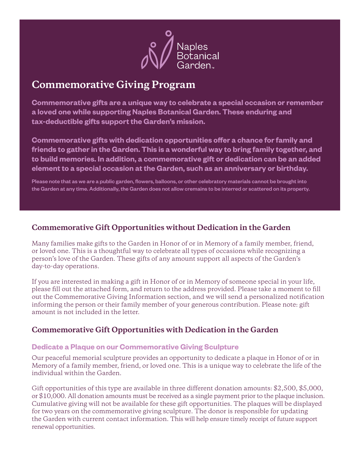

## **Commemorative Giving Program**

**Commemorative gifts are a unique way to celebrate a special occasion or remember a loved one while supporting Naples Botanical Garden. These enduring and tax-deductible gifts support the Garden's mission.**

**Commemorative gifts with dedication opportunities offer a chance for family and friends to gather in the Garden. This is a wonderful way to bring family together, and to build memories. In addition, a commemorative gift or dedication can be an added element to a special occasion at the Garden, such as an anniversary or birthday.**

Please note that as we are a public garden, flowers, balloons, or other celebratory materials cannot be brought into the Garden at any time. Additionally, the Garden does not allow cremains to be interred or scattered on its property.

## **Commemorative Gift Opportunities without Dedication in the Garden**

Many families make gifts to the Garden in Honor of or in Memory of a family member, friend, or loved one. This is a thoughtful way to celebrate all types of occasions while recognizing a person's love of the Garden. These gifts of any amount support all aspects of the Garden's day-to-day operations.

If you are interested in making a gift in Honor of or in Memory of someone special in your life, please fill out the attached form, and return to the address provided. Please take a moment to fill out the Commemorative Giving Information section, and we will send a personalized notification informing the person or their family member of your generous contribution. Please note: gift amount is not included in the letter.

## **Commemorative Gift Opportunities with Dedication in the Garden**

#### **Dedicate a Plaque on our Commemorative Giving Sculpture**

Our peaceful memorial sculpture provides an opportunity to dedicate a plaque in Honor of or in Memory of a family member, friend, or loved one. This is a unique way to celebrate the life of the individual within the Garden.

Gift opportunities of this type are available in three different donation amounts: \$2,500, \$5,000, or \$10,000. All donation amounts must be received as a single payment prior to the plaque inclusion. Cumulative giving will not be available for these gift opportunities. The plaques will be displayed for two years on the commemorative giving sculpture. The donor is responsible for updating the Garden with current contact information. This will help ensure timely receipt of future support renewal opportunities.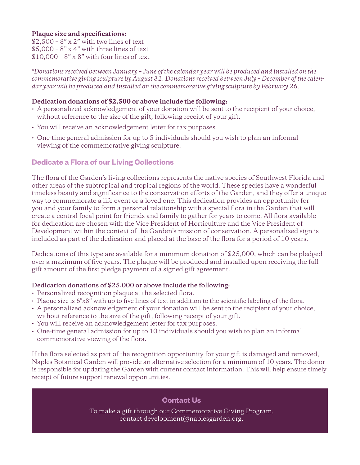#### **Plaque size and specifications:**

 $$2,500 - 8" \times 2"$  with two lines of text  $$5,000 - 8"$  x 4" with three lines of text  $$10,000 - 8"$  x  $8"$  with four lines of text

*\*Donations received between January – June of the calendar year will be produced and installed on the commemorative giving sculpture by August 31. Donations received between July – December of the calendar year will be produced and installed on the commemorative giving sculpture by February 26.*

#### **Dedication donations of \$2,500 or above include the following:**

- A personalized acknowledgement of your donation will be sent to the recipient of your choice, without reference to the size of the gift, following receipt of your gift.
- You will receive an acknowledgement letter for tax purposes.
- One-time general admission for up to 5 individuals should you wish to plan an informal viewing of the commemorative giving sculpture.

## **Dedicate a Flora of our Living Collections**

The flora of the Garden's living collections represents the native species of Southwest Florida and other areas of the subtropical and tropical regions of the world. These species have a wonderful timeless beauty and significance to the conservation efforts of the Garden, and they offer a unique way to commemorate a life event or a loved one. This dedication provides an opportunity for you and your family to form a personal relationship with a special flora in the Garden that will create a central focal point for friends and family to gather for years to come. All flora available for dedication are chosen with the Vice President of Horticulture and the Vice President of Development within the context of the Garden's mission of conservation. A personalized sign is included as part of the dedication and placed at the base of the flora for a period of 10 years.

Dedications of this type are available for a minimum donation of \$25,000, which can be pledged over a maximum of five years. The plaque will be produced and installed upon receiving the full gift amount of the first pledge payment of a signed gift agreement.

#### **Dedication donations of \$25,000 or above include the following:**

- Personalized recognition plaque at the selected flora.
- Plaque size is 6"x8" with up to five lines of text in addition to the scientific labeling of the flora.
- A personalized acknowledgement of your donation will be sent to the recipient of your choice, without reference to the size of the gift, following receipt of your gift.
- You will receive an acknowledgement letter for tax purposes.
- One-time general admission for up to 10 individuals should you wish to plan an informal commemorative viewing of the flora.

If the flora selected as part of the recognition opportunity for your gift is damaged and removed, Naples Botanical Garden will provide an alternative selection for a minimum of 10 years. The donor is responsible for updating the Garden with current contact information. This will help ensure timely receipt of future support renewal opportunities.

#### **Contact Us**

To make a gift through our Commemorative Giving Program, contact development@naplesgarden.org.